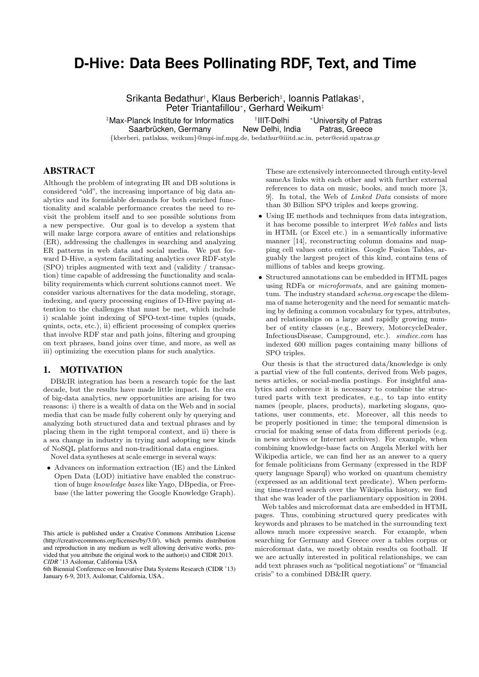# **D-Hive: Data Bees Pollinating RDF, Text, and Time**

Srikanta Bedathur<sup>†</sup>, Klaus Berberich<sup>‡</sup>, Ioannis Patlakas<sup>‡</sup>, Peter Triantafillou<sup>∗</sup> , Gerhard Weikum‡

‡Max-Planck Institute for Informatics † *∗University of Patras*<br>Patras, Greece Saarbrücken, Germany {kberberi, patlakas, weikum}@mpi-inf.mpg.de, bedathur@iiitd.ac.in, peter@ceid.upatras.gr

# ABSTRACT

Although the problem of integrating IR and DB solutions is considered "old", the increasing importance of big data analytics and its formidable demands for both enriched functionality and scalable performance creates the need to revisit the problem itself and to see possible solutions from a new perspective. Our goal is to develop a system that will make large corpora aware of entities and relationships (ER), addressing the challenges in searching and analyzing ER patterns in web data and social media. We put forward D-Hive, a system facilitating analytics over RDF-style (SPO) triples augmented with text and (validity / transaction) time capable of addressing the functionality and scalability requirements which current solutions cannot meet. We consider various alternatives for the data modeling, storage, indexing, and query processing engines of D-Hive paying attention to the challenges that must be met, which include i) scalable joint indexing of SPO-text-time tuples (quads, quints, octs, etc.), ii) efficient processing of complex queries that involve RDF star and path joins, filtering and grouping on text phrases, band joins over time, and more, as well as iii) optimizing the execution plans for such analytics.

#### 1. MOTIVATION

DB&IR integration has been a research topic for the last decade, but the results have made little impact. In the era of big-data analytics, new opportunities are arising for two reasons: i) there is a wealth of data on the Web and in social media that can be made fully coherent only by querying and analyzing both structured data and textual phrases and by placing them in the right temporal context, and ii) there is a sea change in industry in trying and adopting new kinds of NoSQL platforms and non-traditional data engines.

Novel data syntheses at scale emerge in several ways:

• Advances on information extraction (IE) and the Linked Open Data (LOD) initiative have enabled the construction of huge knowledge bases like Yago, DBpedia, or Freebase (the latter powering the Google Knowledge Graph).

6th Biennial Conference on Innovative Data Systems Research (CIDR '13) January 6-9, 2013, Asilomar, California, USA..

These are extensively interconnected through entity-level sameAs links with each other and with further external references to data on music, books, and much more [3, 9]. In total, the Web of Linked Data consists of more than 30 Billion SPO triples and keeps growing.

- Using IE methods and techniques from data integration, it has become possible to interpret Web tables and lists in HTML (or Excel etc.) in a semantically informative manner [14], reconstructing column domains and mapping cell values onto entities. Google Fusion Tables, arguably the largest project of this kind, contains tens of millions of tables and keeps growing.
- Structured annotations can be embedded in HTML pages using RDFa or *microformats*, and are gaining momentum. The industry standard schema.org escape the dilemma of name heterogenity and the need for semantic matching by defining a common vocabulary for types, attributes, and relationships on a large and rapidly growing number of entity classes (e.g., Brewery, MotorcycleDealer, InfectiousDisease, Campground, etc.). sindice.com has indexed 600 million pages containing many billions of SPO triples.

Our thesis is that the structured data/knowledge is only a partial view of the full contents, derived from Web pages, news articles, or social-media postings. For insightful analytics and coherence it is necessary to combine the structured parts with text predicates, e.g., to tap into entity names (people, places, products), marketing slogans, quotations, user comments, etc. Moreover, all this needs to be properly positioned in time; the temporal dimension is crucial for making sense of data from different periods (e.g. in news archives or Internet archives). For example, when combining knowledge-base facts on Angela Merkel with her Wikipedia article, we can find her as an answer to a query for female politicians from Germany (expressed in the RDF query language Sparql) who worked on quantum chemistry (expressed as an additional text predicate). When performing time-travel search over the Wikipedia history, we find that she was leader of the parliamentary opposition in 2004.

Web tables and microformat data are embedded in HTML pages. Thus, combining structured query predicates with keywords and phrases to be matched in the surrounding text allows much more expressive search. For example, when searching for Germany and Greece over a tables corpus or microformat data, we mostly obtain results on football. If we are actually interested in political relationships, we can add text phrases such as "political negotiations" or "financial crisis" to a combined DB&IR query.

This article is published under a Creative Commons Attribution License (http://creativecommons.org/licenses/by/3.0/), which permits distribution and reproduction in any medium as well allowing derivative works, provided that you attribute the original work to the author(s) and CIDR 2013. *CIDR* '13 Asilomar, California USA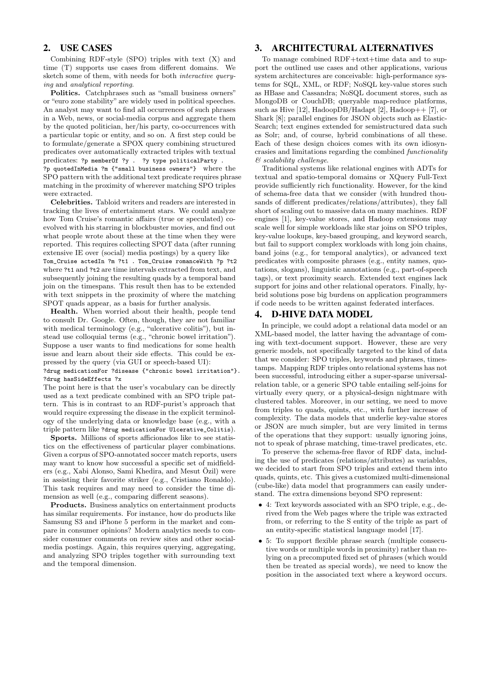# 2. USE CASES

Combining RDF-style (SPO) triples with text (X) and time (T) supports use cases from different domains. We sketch some of them, with needs for both interactive querying and analytical reporting.

Politics. Catchphrases such as "small business owners" or "euro zone stability" are widely used in political speeches. An analyst may want to find all occurrences of such phrases in a Web, news, or social-media corpus and aggregate them by the quoted politician, her/his party, co-occurrences with a particular topic or entity, and so on. A first step could be to formulate/generate a SPOX query combining structured predicates over automatically extracted triples with textual predicates: ?p memberOf ?y . ?y type politicalParty . ?p quotedInMedia ?m {"small business owners"} where the

SPO pattern with the additional text predicate requires phrase matching in the proximity of wherever matching SPO triples were extracted.

Celebrities. Tabloid writers and readers are interested in tracking the lives of entertainment stars. We could analyze how Tom Cruise's romantic affairs (true or speculated) coevolved with his starring in blockbuster movies, and find out what people wrote about these at the time when they were reported. This requires collecting SPOT data (after running extensive IE over (social) media postings) by a query like Tom\_Cruise actedIn ?m ?t1 . Tom\_Cruise romanceWith ?p ?t2 where ?t1 and ?t2 are time intervals extracted from text, and subsequently joining the resulting quads by a temporal band join on the timespans. This result then has to be extended with text snippets in the proximity of where the matching SPOT quads appear, as a basis for further analysis.

Health. When worried about their health, people tend to consult Dr. Google. Often, though, they are not familiar with medical terminology (e.g., "ulcerative colitis"), but instead use colloquial terms (e.g., "chronic bowel irritation"). Suppose a user wants to find medications for some health issue and learn about their side effects. This could be expressed by the query (via GUI or speech-based UI):

?drug medicationFor ?disease {"chronic bowel irritation"}. ?drug hasSideEffects ?x

The point here is that the user's vocabulary can be directly used as a text predicate combined with an SPO triple pattern. This is in contrast to an RDF-purist's approach that would require expressing the disease in the explicit terminology of the underlying data or knowledge base (e.g., with a triple pattern like ?drug medicationFor Ulcerative\_Colitis).

Sports. Millions of sports afficionados like to see statistics on the effectiveness of particular player combinations. Given a corpus of SPO-annotated soccer match reports, users may want to know how successful a specific set of midfielders (e.g., Xabi Alonso, Sami Khedira, and Mesut Özil) were in assisting their favorite striker (e.g., Cristiano Ronaldo). This task requires and may need to consider the time dimension as well (e.g., comparing different seasons).

Products. Business analytics on entertainment products has similar requirements. For instance, how do products like Samsung S3 and iPhone 5 perform in the market and compare in consumer opinions? Modern analytics needs to consider consumer comments on review sites and other socialmedia postings. Again, this requires querying, aggregating, and analyzing SPO triples together with surrounding text and the temporal dimension.

## 3. ARCHITECTURAL ALTERNATIVES

To manage combined RDF+text+time data and to support the outlined use cases and other applications, various system architectures are conceivable: high-performance systems for SQL, XML, or RDF; NoSQL key-value stores such as HBase and Cassandra; NoSQL document stores, such as MongoDB or CouchDB; queryable map-reduce platforms, such as Hive [12], HadoopDB/Hadapt [2], Hadoop $++$  [7], or Shark [8]; parallel engines for JSON objects such as Elastic-Search; text engines extended for semistructured data such as Solr; and, of course, hybrid combinations of all these. Each of these design choices comes with its own idiosyncrasies and limitations regarding the combined functionality & scalability challenge.

Traditional systems like relational engines with ADTs for textual and spatio-temporal domains or XQuery Full-Text provide sufficiently rich functionality. However, for the kind of schema-free data that we consider (with hundred thousands of different predicates/relations/attributes), they fall short of scaling out to massive data on many machines. RDF engines [1], key-value stores, and Hadoop extensions may scale well for simple workloads like star joins on SPO triples, key-value lookups, key-based grouping, and keyword search, but fail to support complex workloads with long join chains, band joins (e.g., for temporal analytics), or advanced text predicates with composite phrases (e.g., entity names, quotations, slogans), linguistic annotations (e.g., part-of-speech tags), or text proximity search. Extended text engines lack support for joins and other relational operators. Finally, hybrid solutions pose big burdens on application programmers if code needs to be written against federated interfaces.

## 4. D-HIVE DATA MODEL

In principle, we could adopt a relational data model or an XML-based model, the latter having the advantage of coming with text-document support. However, these are very generic models, not specifically targeted to the kind of data that we consider: SPO triples, keywords and phrases, timestamps. Mapping RDF triples onto relational systems has not been successful, introducing either a super-sparse universalrelation table, or a generic SPO table entailing self-joins for virtually every query, or a physical-design nightmare with clustered tables. Moreover, in our setting, we need to move from triples to quads, quints, etc., with further increase of complexity. The data models that underlie key-value stores or JSON are much simpler, but are very limited in terms of the operations that they support: usually ignoring joins, not to speak of phrase matching, time-travel predicates, etc.

To preserve the schema-free flavor of RDF data, including the use of predicates (relations/attributes) as variables, we decided to start from SPO triples and extend them into quads, quints, etc. This gives a customized multi-dimensional (cube-like) data model that programmers can easily understand. The extra dimensions beyond SPO represent:

- 4: Text keywords associated with an SPO triple, e.g., derived from the Web pages where the triple was extracted from, or referring to the S entity of the triple as part of an entity-specific statistical language model [17].
- 5: To support flexible phrase search (multiple consecutive words or multiple words in proximity) rather than relying on a precomputed fixed set of phrases (which would then be treated as special words), we need to know the position in the associated text where a keyword occurs.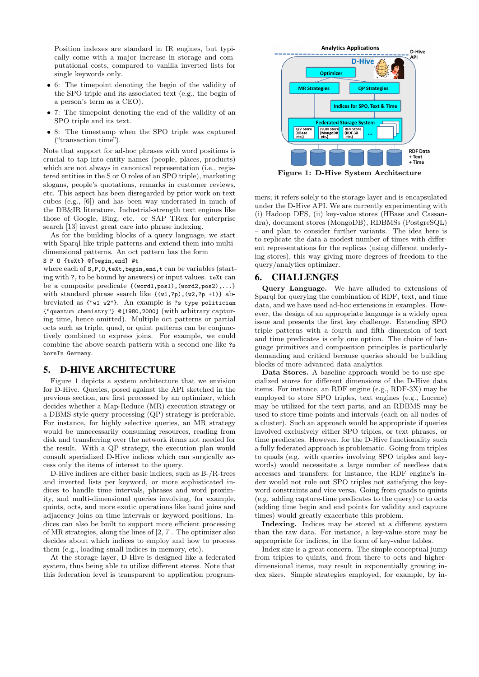Position indexes are standard in IR engines, but typically come with a major increase in storage and computational costs, compared to vanilla inverted lists for single keywords only.

- 6: The timepoint denoting the begin of the validity of the SPO triple and its associated text (e.g., the begin of a person's term as a CEO).
- 7: The timepoint denoting the end of the validity of an SPO triple and its text.
- 8: The timestamp when the SPO triple was captured ("transaction time").

Note that support for ad-hoc phrases with word positions is crucial to tap into entity names (people, places, products) which are not always in canonical representation (i.e., registered entities in the S or O roles of an SPO triple), marketing slogans, people's quotations, remarks in customer reviews, etc. This aspect has been disregarded by prior work on text cubes (e.g., [6]) and has been way underrated in much of the DB&IR literature. Industrial-strength text engines like those of Google, Bing, etc. or SAP TRex for enterprise search [13] invest great care into phrase indexing.

As for the building blocks of a query language, we start with Sparql-like triple patterns and extend them into multidimensional patterns. An oct pattern has the form

## S P O {teXt} @[begin,end] #t

where each of  $s, P, 0$ , teXt, begin, end, t can be variables (starting with ?, to be bound by answers) or input values. teXt can be a composite predicate {(word1,pos1),(word2,pos2),...} with standard phrase search like  $\{(w1, ?p), (w2, ?p +1)\}$  abbreviated as {"w1 w2"}. An example is ?s type politician {"quantum chemistry"} @[1980,2000] (with arbitrary capturing time, hence omitted). Multiple oct patterns or partial octs such as triple, quad, or quint patterns can be conjunctively combined to express joins. For example, we could combine the above search pattern with a second one like ?s bornIn Germany.

#### 5. D-HIVE ARCHITECTURE

Figure 1 depicts a system architecture that we envision for D-Hive. Queries, posed against the API sketched in the previous section, are first processed by an optimizer, which decides whether a Map-Reduce (MR) execution strategy or a DBMS-style query-processing (QP) strategy is preferable. For instance, for highly selective queries, an MR strategy would be unnecessarily consuming resources, reading from disk and transferring over the network items not needed for the result. With a QP strategy, the execution plan would consult specialized D-Hive indices which can surgically access only the items of interest to the query.

D-Hive indices are either basic indices, such as B-/R-trees and inverted lists per keyword, or more sophisticated indices to handle time intervals, phrases and word proximity, and multi-dimensional queries involving, for example, quints, octs, and more exotic operations like band joins and adjacency joins on time intervals or keyword positions. Indices can also be built to support more efficient processing of MR strategies, along the lines of [2, 7]. The optimizer also decides about which indices to employ and how to process them (e.g., loading small indices in memory, etc).

At the storage layer, D-Hive is designed like a federated system, thus being able to utilize different stores. Note that this federation level is transparent to application program-



mers; it refers solely to the storage layer and is encapsulated under the D-Hive API. We are currently experimenting with (i) Hadoop DFS, (ii) key-value stores (HBase and Cassandra), document stores (MongoDB), RDBMSs (PostgreSQL) – and plan to consider further variants. The idea here is to replicate the data a modest number of times with different representations for the replicas (using different underlying stores), this way giving more degrees of freedom to the query/analytics optimizer.

## 6. CHALLENGES

Query Language. We have alluded to extensions of Sparql for querying the combination of RDF, text, and time data, and we have used ad-hoc extensions in examples. However, the design of an appropriate language is a widely open issue and presents the first key challenge. Extending SPO triple patterns with a fourth and fifth dimension of text and time predicates is only one option. The choice of language primitives and composition principles is particularly demanding and critical because queries should be building blocks of more advanced data analytics.

Data Stores. A baseline approach would be to use specialized stores for different dimensions of the D-Hive data items. For instance, an RDF engine (e.g., RDF-3X) may be employed to store SPO triples, text engines (e.g., Lucene) may be utilized for the text parts, and an RDBMS may be used to store time points and intervals (each on all nodes of a cluster). Such an approach would be appropriate if queries involved exclusively either SPO triples, or text phrases, or time predicates. However, for the D-Hive functionality such a fully federated approach is problematic. Going from triples to quads (e.g. with queries involving SPO triples and keywords) would necessitate a large number of needless data accesses and transfers; for instance, the RDF engine's index would not rule out SPO triples not satisfying the keyword constraints and vice versa. Going from quads to quints (e.g. adding capture-time predicates to the query) or to octs (adding time begin and end points for validity and capture times) would greatly exacerbate this problem.

Indexing. Indices may be stored at a different system than the raw data. For instance, a key-value store may be appropriate for indices, in the form of key-value tables.

Index size is a great concern. The simple conceptual jump from triples to quints, and from there to octs and higherdimensional items, may result in exponentially growing index sizes. Simple strategies employed, for example, by in